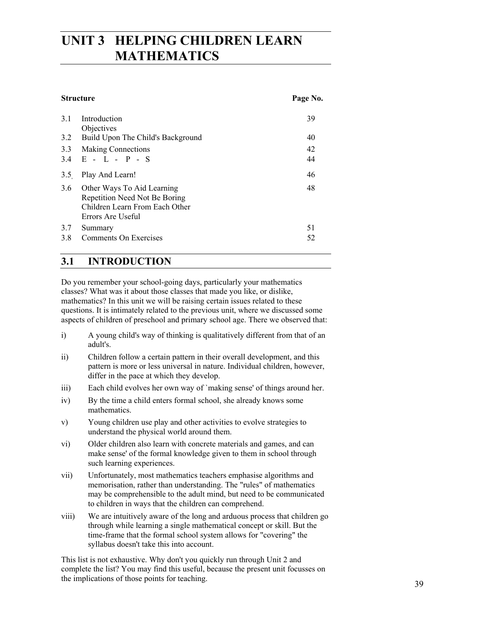# **UNIT 3 HELPING CHILDREN LEARN MATHEMATICS**

#### **Structure** Page No.

| 3.1        | Introduction<br>Objectives                                                                                         | 39       |
|------------|--------------------------------------------------------------------------------------------------------------------|----------|
| 3.2        | Build Upon The Child's Background                                                                                  | 40       |
| 3.3        | <b>Making Connections</b><br>$3.4$ E - L - P - S                                                                   | 42<br>44 |
| 3.5        | Play And Learn!                                                                                                    | 46       |
| 3.6        | Other Ways To Aid Learning<br>Repetition Need Not Be Boring<br>Children Learn From Each Other<br>Errors Are Useful | 48       |
| 3.7<br>3.8 | Summary<br>Comments On Exercises                                                                                   | 51<br>52 |

# **3.1 INTRODUCTION**

Do you remember your school-going days, particularly your mathematics classes? What was it about those classes that made you like, or dislike, mathematics? In this unit we will be raising certain issues related to these questions. It is intimately related to the previous unit, where we discussed some aspects of children of preschool and primary school age. There we observed that:

- i) A young child's way of thinking is qualitatively different from that of an adult's.
- ii) Children follow a certain pattern in their overall development, and this pattern is more or less universal in nature. Individual children, however, differ in the pace at which they develop.
- iii) Each child evolves her own way of `making sense' of things around her.
- iv) By the time a child enters formal school, she already knows some mathematics.
- v) Young children use play and other activities to evolve strategies to understand the physical world around them.
- vi) Older children also learn with concrete materials and games, and can make sense' of the formal knowledge given to them in school through such learning experiences.
- vii) Unfortunately, most mathematics teachers emphasise algorithms and memorisation, rather than understanding. The "rules" of mathematics may be comprehensible to the adult mind, but need to be communicated to children in ways that the children can comprehend.
- viii) We are intuitively aware of the long and arduous process that children go through while learning a single mathematical concept or skill. But the time-frame that the formal school system allows for "covering" the syllabus doesn't take this into account.

This list is not exhaustive. Why don't you quickly run through Unit 2 and complete the list? You may find this useful, because the present unit focusses on the implications of those points for teaching.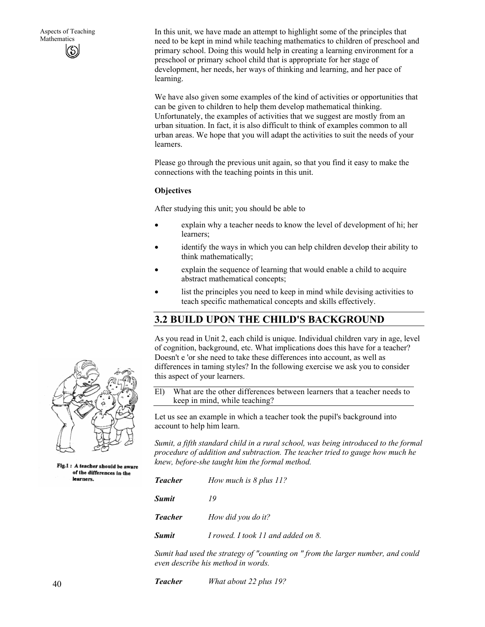In this unit, we have made an attempt to highlight some of the principles that need to be kept in mind while teaching mathematics to children of preschool and primary school. Doing this would help in creating a learning environment for a preschool or primary school child that is appropriate for her stage of development, her needs, her ways of thinking and learning, and her pace of learning.

We have also given some examples of the kind of activities or opportunities that can be given to children to help them develop mathematical thinking. Unfortunately, the examples of activities that we suggest are mostly from an urban situation. In fact, it is also difficult to think of examples common to all urban areas. We hope that you will adapt the activities to suit the needs of your learners.

Please go through the previous unit again, so that you find it easy to make the connections with the teaching points in this unit.

#### **Objectives**

After studying this unit; you should be able to

- explain why a teacher needs to know the level of development of hi; her learners;
- identify the ways in which you can help children develop their ability to think mathematically;
- explain the sequence of learning that would enable a child to acquire abstract mathematical concepts;
- list the principles you need to keep in mind while devising activities to teach specific mathematical concepts and skills effectively.

## **3.2 BUILD UPON THE CHILD'S BACKGROUND**

As you read in Unit 2, each child is unique. Individual children vary in age, level of cognition, background, etc. What implications does this have for a teacher? Doesn't e 'or she need to take these differences into account, as well as differences in taming styles? In the following exercise we ask you to consider this aspect of your learners.

El) What are the other differences between learners that a teacher needs to keep in mind, while teaching?

Let us see an example in which a teacher took the pupil's background into account to help him learn.

*Sumit, a fifth standard child in a rural school, was being introduced to the formal procedure of addition and subtraction. The teacher tried to gauge how much he knew, before-she taught him the formal method.* 

| <b>Teacher</b> | How much is 8 plus 11?             |
|----------------|------------------------------------|
| <b>Sumit</b>   | 19                                 |
| <b>Teacher</b> | How did you do it?                 |
| <b>Sumit</b>   | I rowed. I took 11 and added on 8. |

*Sumit had used the strategy of "counting on " from the larger number, and could even describe his method in words.* 

*Teacher What about 22 plus 19?* 



Fig.1: A teacher should be aware of the differences in the learners.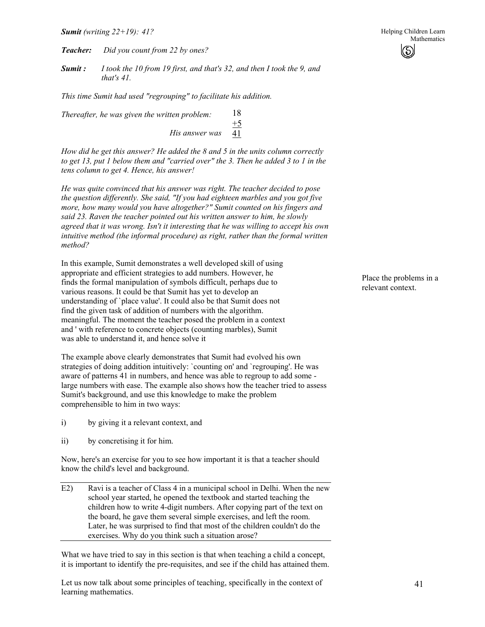*Teacher: Did you count from 22 by ones?* 

*Sumit : I took the 10 from 19 first, and that's 32, and then I took the 9, and that's 41.* 

*This time Sumit had used "regrouping" to facilitate his addition.* 

*Thereafter, he was given the written problem: His answer was*  18  $+5$ 41

*How did he get this answer? He added the 8 and 5 in the units column correctly to get 13, put 1 below them and "carried over" the 3. Then he added 3 to 1 in the tens column to get 4. Hence, his answer!* 

*He was quite convinced that his answer was right. The teacher decided to pose the question differently. She said, "If you had eighteen marbles and you got five more, how many would you have altogether?" Sumit counted on his fingers and said 23. Raven the teacher pointed out his written answer to him, he slowly agreed that it was wrong. Isn't it interesting that he was willing to accept his own intuitive method (the informal procedure) as right, rather than the formal written method?* 

In this example, Sumit demonstrates a well developed skill of using appropriate and efficient strategies to add numbers. However, he finds the formal manipulation of symbols difficult, perhaps due to various reasons. It could be that Sumit has yet to develop an understanding of `place value'. It could also be that Sumit does not find the given task of addition of numbers with the algorithm. meaningful. The moment the teacher posed the problem in a context and ' with reference to concrete objects (counting marbles), Sumit was able to understand it, and hence solve it

The example above clearly demonstrates that Sumit had evolved his own strategies of doing addition intuitively: `counting on' and `regrouping'. He was aware of patterns 41 in numbers, and hence was able to regroup to add some large numbers with ease. The example also shows how the teacher tried to assess Sumit's background, and use this knowledge to make the problem comprehensible to him in two ways:

- i) by giving it a relevant context, and
- ii) by concretising it for him.

Now, here's an exercise for you to see how important it is that a teacher should know the child's level and background.

E2) Ravi is a teacher of Class 4 in a municipal school in Delhi. When the new school year started, he opened the textbook and started teaching the children how to write 4-digit numbers. After copying part of the text on the board, he gave them several simple exercises, and left the room. Later, he was surprised to find that most of the children couldn't do the exercises. Why do you think such a situation arose?

What we have tried to say in this section is that when teaching a child a concept, it is important to identify the pre-requisites, and see if the child has attained them.

Let us now talk about some principles of teaching, specifically in the context of learning mathematics.

Place the problems in a relevant context.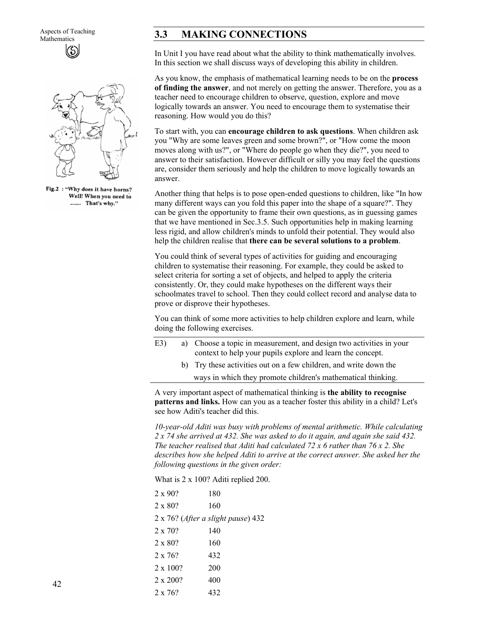Aspects of Teaching



Fig.2 : "Why does it have horns? Well! When you need to ...... That's why."

## 3.3 MAKING CONNECTIONS

In Unit I you have read about what the ability to think mathematically involves. In this section we shall discuss ways of developing this ability in children.

As you know, the emphasis of mathematical learning needs to be on the **process of finding the answer**, and not merely on getting the answer. Therefore, you as a teacher need to encourage children to observe, question, explore and move logically towards an answer. You need to encourage them to systematise their reasoning. How would you do this?

To start with, you can **encourage children to ask questions**. When children ask you "Why are some leaves green and some brown?", or "How come the moon moves along with us?", or "Where do people go when they die?", you need to answer to their satisfaction. However difficult or silly you may feel the questions are, consider them seriously and help the children to move logically towards an answer.

Another thing that helps is to pose open-ended questions to children, like "In how many different ways can you fold this paper into the shape of a square?". They can be given the opportunity to frame their own questions, as in guessing games that we have mentioned in Sec.3.5. Such opportunities help in making learning less rigid, and allow children's minds to unfold their potential. They would also help the children realise that **there can be several solutions to a problem**.

You could think of several types of activities for guiding and encouraging children to systematise their reasoning. For example, they could be asked to select criteria for sorting a set of objects, and helped to apply the criteria consistently. Or, they could make hypotheses on the different ways their schoolmates travel to school. Then they could collect record and analyse data to prove or disprove their hypotheses.

You can think of some more activities to help children explore and learn, while doing the following exercises.

| E3) | a) Choose a topic in measurement, and design two activities in your |
|-----|---------------------------------------------------------------------|
|     | context to help your pupils explore and learn the concept.          |

b) Try these activities out on a few children, and write down the ways in which they promote children's mathematical thinking.

A very important aspect of mathematical thinking is **the ability to recognise patterns and links.** How can you as a teacher foster this ability in a child? Let's see how Aditi's teacher did this.

*10-year-old Aditi was busy with problems of mental arithmetic. While calculating 2 x 74 she arrived at 432. She was asked to do it again, and again she said 432. The teacher realised that Aditi had calculated 72 x 6 rather than 76 x 2. She describes how she helped Aditi to arrive at the correct answer. She asked her the following questions in the given order:* 

What is 2 x 100? Aditi replied 200.

| $2 \times 90$ ? | 180                                        |  |
|-----------------|--------------------------------------------|--|
| $2 \times 80$ ? | 160                                        |  |
|                 | $2 \times 76$ ? (After a slight pause) 432 |  |
| $2 \times 70$ ? | 140                                        |  |
| $2 \times 80$ ? | 160                                        |  |
| $2 \times 76$ ? | 432                                        |  |
| $2 \times 100?$ | 200                                        |  |
| 2 x 200?        | 400                                        |  |
| $2 \times 76$ ? | 432                                        |  |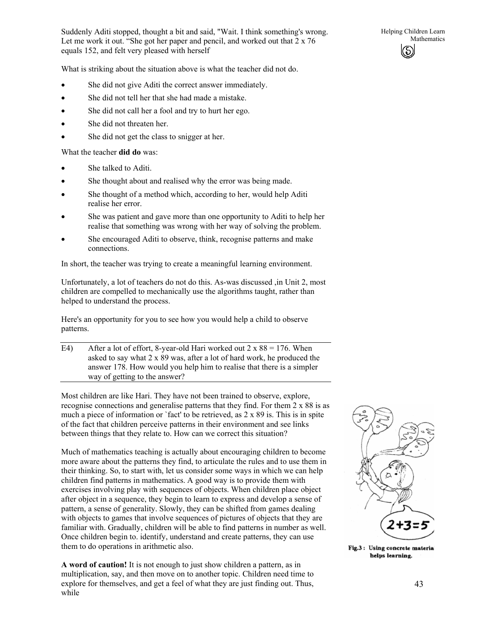Suddenly Aditi stopped, thought a bit and said, "Wait. I think something's wrong. Let me work it out. "She got her paper and pencil, and worked out that 2 x 76 equals 152, and felt very pleased with herself

What is striking about the situation above is what the teacher did not do.

- She did not give Aditi the correct answer immediately.
- She did not tell her that she had made a mistake.
- She did not call her a fool and try to hurt her ego.
- She did not threaten her.
- She did not get the class to snigger at her.

What the teacher **did do** was:

- She talked to Aditi.
- She thought about and realised why the error was being made.
- She thought of a method which, according to her, would help Aditi realise her error.
- She was patient and gave more than one opportunity to Aditi to help her realise that something was wrong with her way of solving the problem.
- She encouraged Aditi to observe, think, recognise patterns and make connections.

In short, the teacher was trying to create a meaningful learning environment.

Unfortunately, a lot of teachers do not do this. As-was discussed ,in Unit 2, most children are compelled to mechanically use the algorithms taught, rather than helped to understand the process.

Here's an opportunity for you to see how you would help a child to observe patterns.

E4) After a lot of effort, 8-year-old Hari worked out  $2 \times 88 = 176$ . When asked to say what 2 x 89 was, after a lot of hard work, he produced the answer 178. How would you help him to realise that there is a simpler way of getting to the answer?

Most children are like Hari. They have not been trained to observe, explore, recognise connections and generalise patterns that they find. For them 2 x 88 is as much a piece of information or `fact' to be retrieved, as 2 x 89 is. This is in spite of the fact that children perceive patterns in their environment and see links between things that they relate to. How can we correct this situation?

Much of mathematics teaching is actually about encouraging children to become more aware about the patterns they find, to articulate the rules and to use them in their thinking. So, to start with, let us consider some ways in which we can help children find patterns in mathematics. A good way is to provide them with exercises involving play with sequences of objects. When children place object after object in a sequence, they begin to learn to express and develop a sense of pattern, a sense of generality. Slowly, they can be shifted from games dealing with objects to games that involve sequences of pictures of objects that they are familiar with. Gradually, children will be able to find patterns in number as well. Once children begin to. identify, understand and create patterns, they can use them to do operations in arithmetic also.

**A word of caution!** It is not enough to just show children a pattern, as in multiplication, say, and then move on to another topic. Children need time to explore for themselves, and get a feel of what they are just finding out. Thus, while



Fig.3: Using concrete materia helps learning.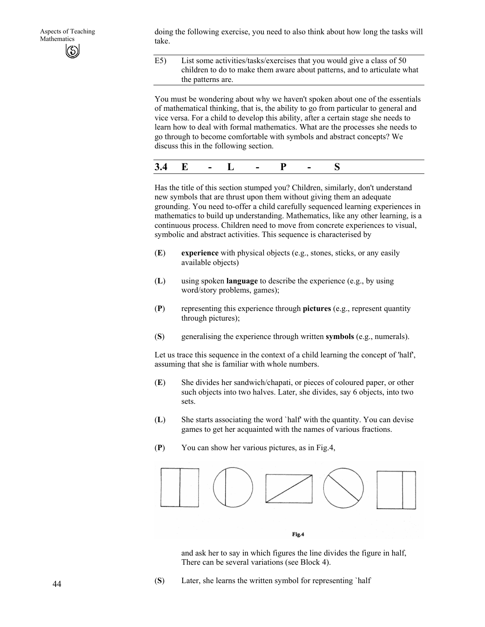doing the following exercise, you need to also think about how long the tasks will take.

E5) List some activities/tasks/exercises that you would give a class of 50 children to do to make them aware about patterns, and to articulate what the patterns are.

You must be wondering about why we haven't spoken about one of the essentials of mathematical thinking, that is, the ability to go from particular to general and vice versa. For a child to develop this ability, after a certain stage she needs to learn how to deal with formal mathematics. What are the processes she needs to go through to become comfortable with symbols and abstract concepts? We discuss this in the following section.

| -<br>ັ |  |  |  |  |  |  |  |  |  |
|--------|--|--|--|--|--|--|--|--|--|
|--------|--|--|--|--|--|--|--|--|--|

Has the title of this section stumped you? Children, similarly, don't understand new symbols that are thrust upon them without giving them an adequate grounding. You need to-offer a child carefully sequenced learning experiences in mathematics to build up understanding. Mathematics, like any other learning, is a continuous process. Children need to move from concrete experiences to visual, symbolic and abstract activities. This sequence is characterised by

- (**E**) **experience** with physical objects (e.g., stones, sticks, or any easily available objects)
- (**L**) using spoken **language** to describe the experience (e.g., by using word/story problems, games);
- (**P**) representing this experience through **pictures** (e.g., represent quantity through pictures);
- (**S**) generalising the experience through written **symbols** (e.g., numerals).

Let us trace this sequence in the context of a child learning the concept of 'half', assuming that she is familiar with whole numbers.

- (**E**) She divides her sandwich/chapati, or pieces of coloured paper, or other such objects into two halves. Later, she divides, say 6 objects, into two sets.
- (**L**) She starts associating the word `half' with the quantity. You can devise games to get her acquainted with the names of various fractions.
- (**P**) You can show her various pictures, as in Fig.4,



and ask her to say in which figures the line divides the figure in half, There can be several variations (see Block 4).

(**S**) Later, she learns the written symbol for representing `half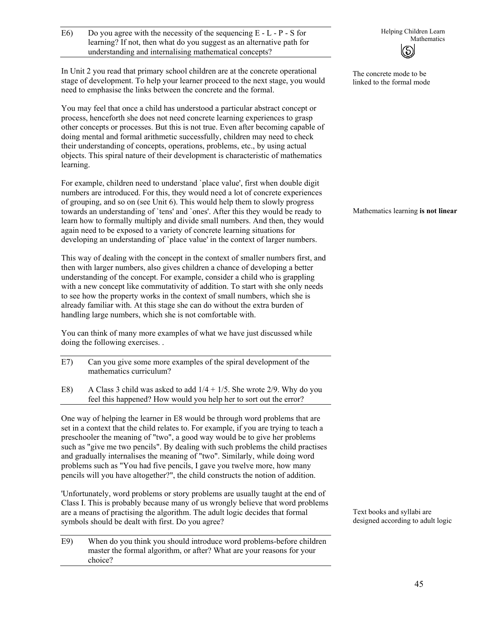$\text{E6)}$  Do you agree with the necessity of the sequencing E - L - P - S for<br>helping Children Learn<br>Mathematics learning? If not, then what do you suggest as an alternative path for understanding and internalising mathematical concepts?

In Unit 2 you read that primary school children are at the concrete operational stage of development. To help your learner proceed to the next stage, you would need to emphasise the links between the concrete and the formal.

You may feel that once a child has understood a particular abstract concept or process, henceforth she does not need concrete learning experiences to grasp other concepts or processes. But this is not true. Even after becoming capable of doing mental and formal arithmetic successfully, children may need to check their understanding of concepts, operations, problems, etc., by using actual objects. This spiral nature of their development is characteristic of mathematics learning.

For example, children need to understand `place value', first when double digit numbers are introduced. For this, they would need a lot of concrete experiences of grouping, and so on (see Unit 6). This would help them to slowly progress towards an understanding of `tens' and `ones'. After this they would be ready to learn how to formally multiply and divide small numbers. And then, they would again need to be exposed to a variety of concrete learning situations for developing an understanding of `place value' in the context of larger numbers.

This way of dealing with the concept in the context of smaller numbers first, and then with larger numbers, also gives children a chance of developing a better understanding of the concept. For example, consider a child who is grappling with a new concept like commutativity of addition. To start with she only needs to see how the property works in the context of small numbers, which she is already familiar with. At this stage she can do without the extra burden of handling large numbers, which she is not comfortable with.

You can think of many more examples of what we have just discussed while doing the following exercises. .

- E7) Can you give some more examples of the spiral development of the mathematics curriculum?
- E8) A Class 3 child was asked to add  $1/4 + 1/5$ . She wrote 2/9. Why do you feel this happened? How would you help her to sort out the error?

One way of helping the learner in E8 would be through word problems that are set in a context that the child relates to. For example, if you are trying to teach a preschooler the meaning of "two", a good way would be to give her problems such as "give me two pencils". By dealing with such problems the child practises and gradually internalises the meaning of "two". Similarly, while doing word problems such as "You had five pencils, I gave you twelve more, how many pencils will you have altogether?", the child constructs the notion of addition.

'Unfortunately, word problems or story problems are usually taught at the end of Class I. This is probably because many of us wrongly believe that word problems are a means of practising the algorithm. The adult logic decides that formal symbols should be dealt with first. Do you agree?

E9) When do you think you should introduce word problems-before children master the formal algorithm, or after? What are your reasons for your choice?



The concrete mode to be linked to the formal mode

Mathematics learning **is not linear**

Text books and syllabi are designed according to adult logic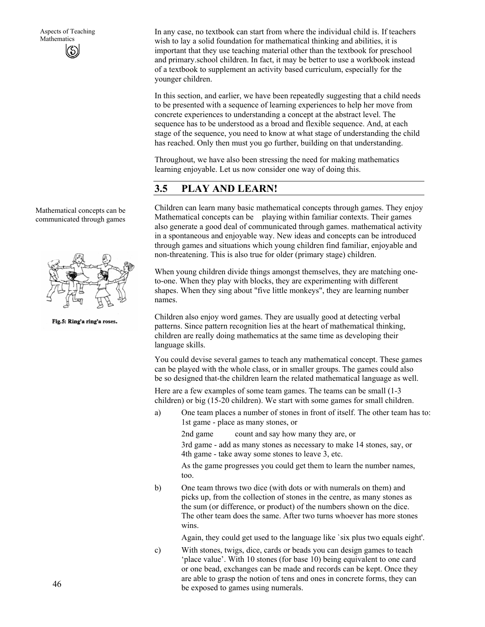In any case, no textbook can start from where the individual child is. If teachers wish to lay a solid foundation for mathematical thinking and abilities, it is important that they use teaching material other than the textbook for preschool and primary.school children. In fact, it may be better to use a workbook instead of a textbook to supplement an activity based curriculum, especially for the younger children.

In this section, and earlier, we have been repeatedly suggesting that a child needs to be presented with a sequence of learning experiences to help her move from concrete experiences to understanding a concept at the abstract level. The sequence has to be understood as a broad and flexible sequence. And, at each stage of the sequence, you need to know at what stage of understanding the child has reached. Only then must you go further, building on that understanding.

Throughout, we have also been stressing the need for making mathematics learning enjoyable. Let us now consider one way of doing this.

# **3.5 PLAY AND LEARN!**

Children can learn many basic mathematical concepts through games. They enjoy Mathematical concepts can be playing within familiar contexts. Their games also generate a good deal of communicated through games. mathematical activity in a spontaneous and enjoyable way. New ideas and concepts can be introduced through games and situations which young children find familiar, enjoyable and non-threatening. This is also true for older (primary stage) children.

When young children divide things amongst themselves, they are matching oneto-one. When they play with blocks, they are experimenting with different shapes. When they sing about "five little monkeys", they are learning number names.

Children also enjoy word games. They are usually good at detecting verbal patterns. Since pattern recognition lies at the heart of mathematical thinking, children are really doing mathematics at the same time as developing their language skills.

You could devise several games to teach any mathematical concept. These games can be played with the whole class, or in smaller groups. The games could also be so designed that-the children learn the related mathematical language as well.

Here are a few examples of some team games. The teams can be small (1-3 children) or big (15-20 children). We start with some games for small children.

a) One team places a number of stones in front of itself. The other team has to: 1st game - place as many stones, or

2nd game count and say how many they are, or

3rd game - add as many stones as necessary to make 14 stones, say, or 4th game - take away some stones to leave 3, etc.

As the game progresses you could get them to learn the number names, too.

b) One team throws two dice (with dots or with numerals on them) and picks up, from the collection of stones in the centre, as many stones as the sum (or difference, or product) of the numbers shown on the dice. The other team does the same. After two turns whoever has more stones wins.

Again, they could get used to the language like `six plus two equals eight'.

c) With stones, twigs, dice, cards or beads you can design games to teach 'place value'. With 10 stones (for base 10) being equivalent to one card or one bead, exchanges can be made and records can be kept. Once they are able to grasp the notion of tens and ones in concrete forms, they can be exposed to games using numerals.

Mathematical concepts can be communicated through games



Fig.5: Ring'a ring'a roses.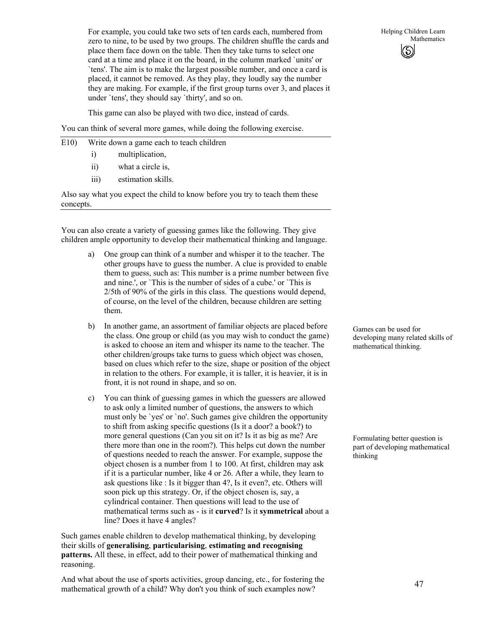For example, you could take two sets of ten cards each, numbered from zero to nine, to be used by two groups. The children shuffle the cards and place them face down on the table. Then they take turns to select one card at a time and place it on the board, in the column marked `units' or `tens'. The aim is to make the largest possible number, and once a card is placed, it cannot be removed. As they play, they loudly say the number they are making. For example, if the first group turns over 3, and places it under `tens', they should say `thirty', and so on.

This game can also be played with two dice, instead of cards.

You can think of several more games, while doing the following exercise.

- E10) Write down a game each to teach children
	- i) multiplication,
	- ii) what a circle is,
	- iii) estimation skills.

Also say what you expect the child to know before you try to teach them these concepts.

You can also create a variety of guessing games like the following. They give children ample opportunity to develop their mathematical thinking and language.

- a) One group can think of a number and whisper it to the teacher. The other groups have to guess the number. A clue is provided to enable them to guess, such as: This number is a prime number between five and nine.', or `This is the number of sides of a cube.' or `This is 2/5th of 90% of the girls in this class.' The questions would depend, of course, on the level of the children, because children are setting them.
- b) In another game, an assortment of familiar objects are placed before the class. One group or child (as you may wish to conduct the game) is asked to choose an item and whisper its name to the teacher. The other children/groups take turns to guess which object was chosen, based on clues which refer to the size, shape or position of the object in relation to the others. For example, it is taller, it is heavier, it is in front, it is not round in shape, and so on.
- c) You can think of guessing games in which the guessers are allowed to ask only a limited number of questions, the answers to which must only be `yes' or `no'. Such games give children the opportunity to shift from asking specific questions (Is it a door? a book?) to more general questions (Can you sit on it? Is it as big as me? Are there more than one in the room?). This helps cut down the number of questions needed to reach the answer. For example, suppose the object chosen is a number from 1 to 100. At first, children may ask if it is a particular number, like 4 or 26. After a while, they learn to ask questions like : Is it bigger than 4?, Is it even?, etc. Others will soon pick up this strategy. Or, if the object chosen is, say, a cylindrical container. Then questions will lead to the use of mathematical terms such as - is it **curved**? Is it **symmetrical** about a line? Does it have 4 angles?

Such games enable children to develop mathematical thinking, by developing their skills of **generalising**, **particularising**, **estimating and recognising patterns.** All these, in effect, add to their power of mathematical thinking and reasoning.

And what about the use of sports activities, group dancing, etc., for fostering the mathematical growth of a child? Why don't you think of such examples now?

Helping Children Learn Mathematics ග

Games can be used for developing many related skills of mathematical thinking.

Formulating better question is part of developing mathematical thinking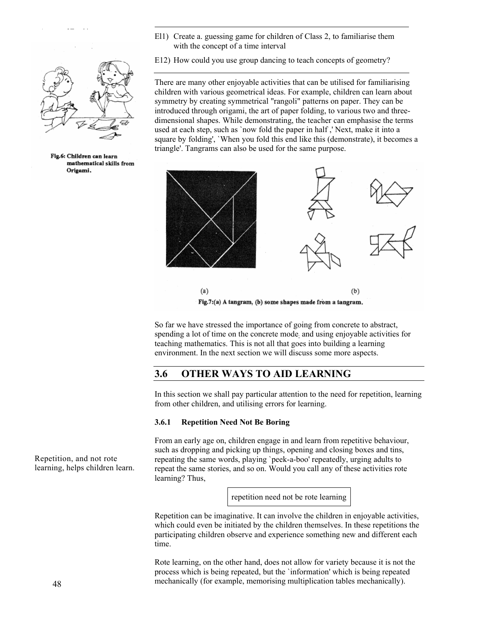El1) Create a. guessing game for children of Class 2, to familiarise them with the concept of a time interval



Aspects of Teaching

Fig.6: Children can learn mathematical skills from Origami.

E12) How could you use group dancing to teach concepts of geometry?

There are many other enjoyable activities that can be utilised for familiarising children with various geometrical ideas. For example, children can learn about symmetry by creating symmetrical "rangoli" patterns on paper. They can be introduced through origami, the art of paper folding, to various two and threedimensional shapes. While demonstrating, the teacher can emphasise the terms used at each step, such as `now fold the paper in half ,' Next, make it into a square by folding', `When you fold this end like this (demonstrate), it becomes a triangle'. Tangrams can also be used for the same purpose.



So far we have stressed the importance of going from concrete to abstract, spending a lot of time on the concrete mode and using enjoyable activities for teaching mathematics. This is not all that goes into building a learning environment. In the next section we will discuss some more aspects.

## **3.6 OTHER WAYS TO AID LEARNING**

In this section we shall pay particular attention to the need for repetition, learning from other children, and utilising errors for learning.

#### **3.6.1 Repetition Need Not Be Boring**

From an early age on, children engage in and learn from repetitive behaviour, such as dropping and picking up things, opening and closing boxes and tins, repeating the same words, playing `peek-a-boo' repeatedly, urging adults to repeat the same stories, and so on. Would you call any of these activities rote learning? Thus,

repetition need not be rote learning

Repetition can be imaginative. It can involve the children in enjoyable activities, which could even be initiated by the children themselves. In these repetitions the participating children observe and experience something new and different each time.

Rote learning, on the other hand, does not allow for variety because it is not the process which is being repeated, but the `information' which is being repeated mechanically (for example, memorising multiplication tables mechanically).

Repetition, and not rote learning, helps children learn.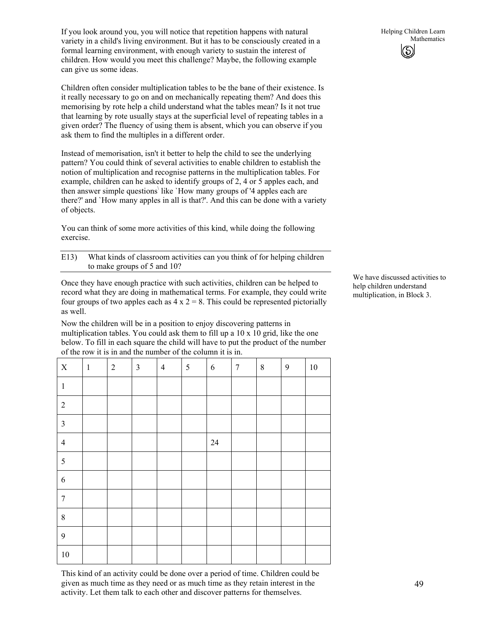If you look around you, you will notice that repetition happens with natural variety in a child's living environment. But it has to be consciously created in a formal learning environment, with enough variety to sustain the interest of children. How would you meet this challenge? Maybe, the following example can give us some ideas.

Children often consider multiplication tables to be the bane of their existence. Is it really necessary to go on and on mechanically repeating them? And does this memorising by rote help a child understand what the tables mean? Is it not true that learning by rote usually stays at the superficial level of repeating tables in a given order? The fluency of using them is absent, which you can observe if you ask them to find the multiples in a different order.

Instead of memorisation, isn't it better to help the child to see the underlying pattern? You could think of several activities to enable children to establish the notion of multiplication and recognise patterns in the multiplication tables. For example, children can he asked to identify groups of 2, 4 or 5 apples each, and then answer simple questions\ like `How many groups of '4 apples each are there?' and `How many apples in all is that?'. And this can be done with a variety of objects.

You can think of some more activities of this kind, while doing the following exercise.

| E13) | What kinds of classroom activities can you think of for helping children |
|------|--------------------------------------------------------------------------|
|      | to make groups of 5 and 10?                                              |

Once they have enough practice with such activities, children can be helped to record what they are doing in mathematical terms. For example, they could write four groups of two apples each as  $4 \times 2 = 8$ . This could be represented pictorially as well.

Now the children will be in a position to enjoy discovering patterns in multiplication tables. You could ask them to fill up a 10 x 10 grid, like the one below. To fill in each square the child will have to put the product of the number of the row it is in and the number of the column it is in.

| $\mathbf X$      | $\mathbf{1}$ | $\sqrt{2}$ | $\mathfrak{Z}$ | $\overline{4}$ | $\sqrt{5}$ | $\sqrt{6}$ | $\boldsymbol{7}$ | $\,8\,$ | $\mathfrak{g}$ | $10\,$ |
|------------------|--------------|------------|----------------|----------------|------------|------------|------------------|---------|----------------|--------|
| $\,1\,$          |              |            |                |                |            |            |                  |         |                |        |
| $\sqrt{2}$       |              |            |                |                |            |            |                  |         |                |        |
| $\mathfrak{Z}$   |              |            |                |                |            |            |                  |         |                |        |
| $\overline{4}$   |              |            |                |                |            | $24\,$     |                  |         |                |        |
| $\sqrt{5}$       |              |            |                |                |            |            |                  |         |                |        |
| $\sqrt{6}$       |              |            |                |                |            |            |                  |         |                |        |
| $\boldsymbol{7}$ |              |            |                |                |            |            |                  |         |                |        |
| $8\,$            |              |            |                |                |            |            |                  |         |                |        |
| $\mathbf{9}$     |              |            |                |                |            |            |                  |         |                |        |
| $10\,$           |              |            |                |                |            |            |                  |         |                |        |

This kind of an activity could be done over a period of time. Children could be given as much time as they need or as much time as they retain interest in the activity. Let them talk to each other and discover patterns for themselves.

We have discussed activities to help children understand multiplication, in Block 3.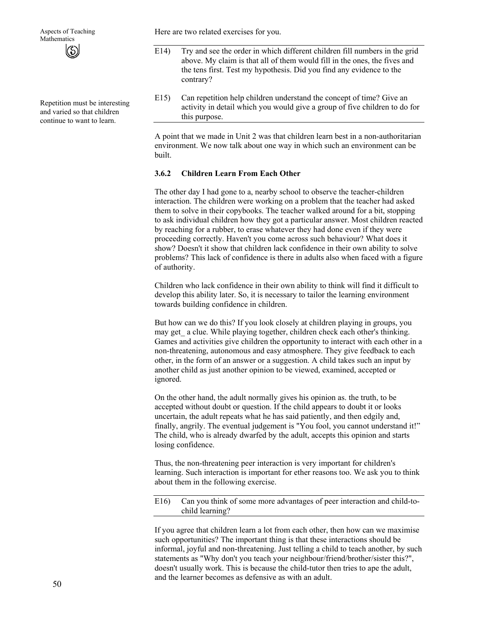Repetition must be interesting and varied so that children continue to want to learn.

Here are two related exercises for you.

- E14) Try and see the order in which different children fill numbers in the grid above. My claim is that all of them would fill in the ones, the fives and the tens first. Test my hypothesis. Did you find any evidence to the contrary?
- E15) Can repetition help children understand the concept of time? Give an activity in detail which you would give a group of five children to do for this purpose.

A point that we made in Unit 2 was that children learn best in a non-authoritarian environment. We now talk about one way in which such an environment can be built.

#### **3.6.2 Children Learn From Each Other**

The other day I had gone to a, nearby school to observe the teacher-children interaction. The children were working on a problem that the teacher had asked them to solve in their copybooks. The teacher walked around for a bit, stopping to ask individual children how they got a particular answer. Most children reacted by reaching for a rubber, to erase whatever they had done even if they were proceeding correctly. Haven't you come across such behaviour? What does it show? Doesn't it show that children lack confidence in their own ability to solve problems? This lack of confidence is there in adults also when faced with a figure of authority.

Children who lack confidence in their own ability to think will find it difficult to develop this ability later. So, it is necessary to tailor the learning environment towards building confidence in children.

But how can we do this? If you look closely at children playing in groups, you may get a clue. While playing together, children check each other's thinking. Games and activities give children the opportunity to interact with each other in a non-threatening, autonomous and easy atmosphere. They give feedback to each other, in the form of an answer or a suggestion. A child takes such an input by another child as just another opinion to be viewed, examined, accepted or ignored.

On the other hand, the adult normally gives his opinion as. the truth, to be accepted without doubt or question. If the child appears to doubt it or looks uncertain, the adult repeats what he has said patiently, and then edgily and, finally, angrily. The eventual judgement is "You fool, you cannot understand it!" The child, who is already dwarfed by the adult, accepts this opinion and starts losing confidence.

Thus, the non-threatening peer interaction is very important for children's learning. Such interaction is important for ether reasons too. We ask you to think about them in the following exercise.

E16) Can you think of some more advantages of peer interaction and child-tochild learning?

If you agree that children learn a lot from each other, then how can we maximise such opportunities? The important thing is that these interactions should be informal, joyful and non-threatening. Just telling a child to teach another, by such statements as "Why don't you teach your neighbour/friend/brother/sister this?", doesn't usually work. This is because the child-tutor then tries to ape the adult, and the learner becomes as defensive as with an adult.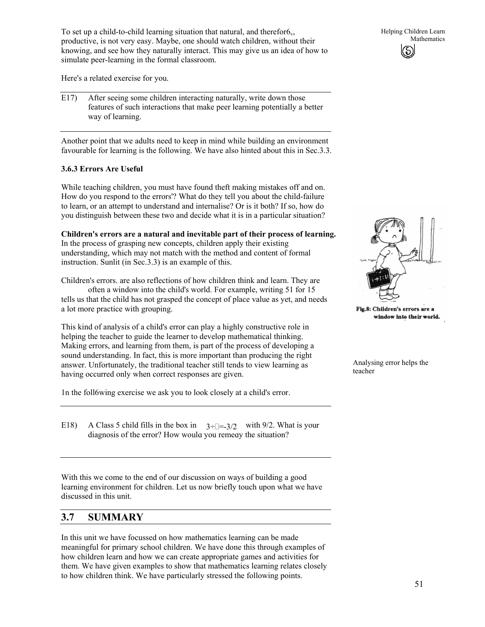To set up a child-to-child learning situation that natural, and therefor $6<sub>v</sub>$ , productive, is not very easy. Maybe, one should watch children, without their knowing, and see how they naturally interact. This may give us an idea of how to simulate peer-learning in the formal classroom.

Here's a related exercise for you.

E17) After seeing some children interacting naturally, write down those features of such interactions that make peer learning potentially a better way of learning.

Another point that we adults need to keep in mind while building an environment favourable for learning is the following. We have also hinted about this in Sec.3.3.

### **3.6.3 Errors Are Useful**

While teaching children, you must have found theft making mistakes off and on. How do you respond to the errors'? What do they tell you about the child-failure to learn, or an attempt to understand and internalise? Or is it both? If so, how do you distinguish between these two and decide what it is in a particular situation?

**Children's errors are a natural and inevitable part of their process of learning.** In the process of grasping new concepts, children apply their existing understanding, which may not match with the method and content of formal instruction. Sunlit (in Sec.3.3) is an example of this.

Children's errors. are also reflections of how children think and learn. They are often a window into the child's world. For example, writing 51 for 15 tells us that the child has not grasped the concept of place value as yet, and needs a lot more practice with grouping.

This kind of analysis of a child's error can play a highly constructive role in helping the teacher to guide the learner to develop mathematical thinking. Making errors, and learning from them, is part of the process of developing a sound understanding. In fact, this is more important than producing the right answer. Unfortunately, the traditional teacher still tends to view learning as having occurred only when correct responses are given.

1n the foll6wing exercise we ask you to look closely at a child's error.

E18) A Class 5 child fills in the box in  $3 \div \Box = 3/2$  with 9/2. What is your diagnosis of the error? How would you remedy the situation?

With this we come to the end of our discussion on ways of building a good learning environment for children. Let us now briefly touch upon what we have discussed in this unit.

## **3.7 SUMMARY**

In this unit we have focussed on how mathematics learning can be made meaningful for primary school children. We have done this through examples of how children learn and how we can create appropriate games and activities for them. We have given examples to show that mathematics learning relates closely to how children think. We have particularly stressed the following points.



Fig.8: Children's errors are a window into their world.

Analysing error helps the teacher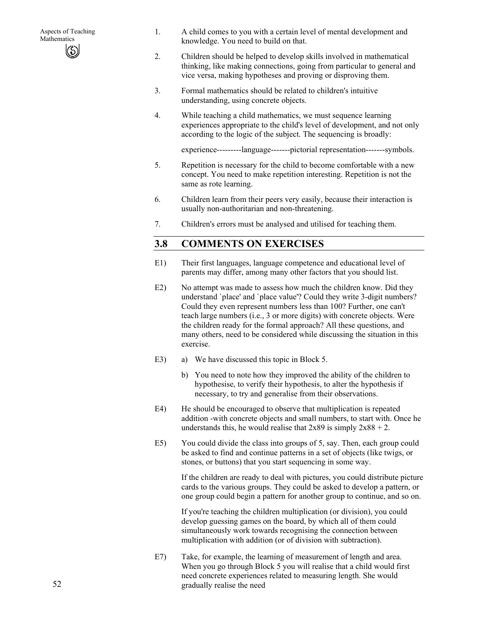- 1. A child comes to you with a certain level of mental development and knowledge. You need to build on that.
- 2. Children should be helped to develop skills involved in mathematical thinking, like making connections, going from particular to general and vice versa, making hypotheses and proving or disproving them.
- 3. Formal mathematics should be related to children's intuitive understanding, using concrete objects.
- 4. While teaching a child mathematics, we must sequence learning experiences appropriate to the child's level of development, and not only according to the logic of the subject. The sequencing is broadly:

experience---------language-------pictorial representation-------symbols.

- 5. Repetition is necessary for the child to become comfortable with a new concept. You need to make repetition interesting. Repetition is not the same as rote learning.
- 6. Children learn from their peers very easily, because their interaction is usually non-authoritarian and non-threatening.
- 7. Children's errors must be analysed and utilised for teaching them.

## **3.8 COMMENTS ON EXERCISES**

- E1) Their first languages, language competence and educational level of parents may differ, among many other factors that you should list.
- E2) No attempt was made to assess how much the children know. Did they understand `place' and `place value'? Could they write 3-digit numbers? Could they even represent numbers less than 100? Further, one can't teach large numbers (i.e., 3 or more digits) with concrete objects. Were the children ready for the formal approach? All these questions, and many others, need to be considered while discussing the situation in this exercise.
- E3) a) We have discussed this topic in Block 5.
	- b) You need to note how they improved the ability of the children to hypothesise, to verify their hypothesis, to alter the hypothesis if necessary, to try and generalise from their observations.
- E4) He should be encouraged to observe that multiplication is repeated addition -with concrete objects and small numbers, to start with. Once he understands this, he would realise that  $2x89$  is simply  $2x88 + 2$ .
- E5) You could divide the class into groups of 5, say. Then, each group could be asked to find and continue patterns in a set of objects (like twigs, or stones, or buttons) that you start sequencing in some way.

If the children are ready to deal with pictures, you could distribute picture cards to the various groups. They could be asked to develop a pattern, or one group could begin a pattern for another group to continue, and so on.

If you're teaching the children multiplication (or division), you could develop guessing games on the board, by which all of them could simultaneously work towards recognising the connection between multiplication with addition (or of division with subtraction).

E7) Take, for example, the learning of measurement of length and area. When you go through Block 5 you will realise that a child would first need concrete experiences related to measuring length. She would gradually realise the need